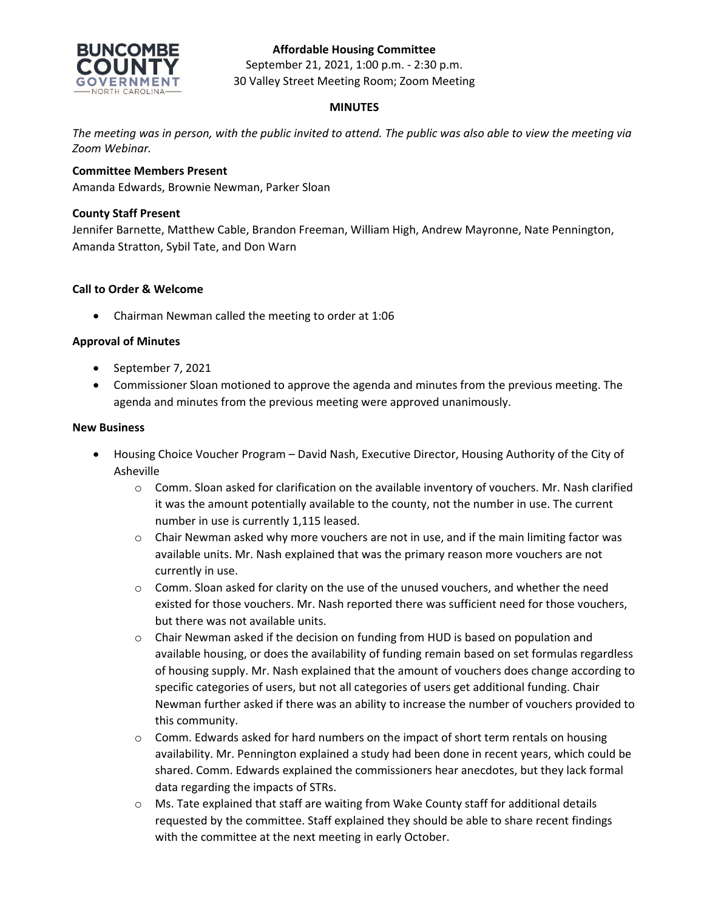## **Affordable Housing Committee**



September 21, 2021, 1:00 p.m. - 2:30 p.m. 30 Valley Street Meeting Room; Zoom Meeting

## **MINUTES**

*The meeting was in person, with the public invited to attend. The public was also able to view the meeting via Zoom Webinar.*

### **Committee Members Present**

Amanda Edwards, Brownie Newman, Parker Sloan

### **County Staff Present**

Jennifer Barnette, Matthew Cable, Brandon Freeman, William High, Andrew Mayronne, Nate Pennington, Amanda Stratton, Sybil Tate, and Don Warn

### **Call to Order & Welcome**

• Chairman Newman called the meeting to order at 1:06

### **Approval of Minutes**

- September 7, 2021
- Commissioner Sloan motioned to approve the agenda and minutes from the previous meeting. The agenda and minutes from the previous meeting were approved unanimously.

#### **New Business**

- Housing Choice Voucher Program David Nash, Executive Director, Housing Authority of the City of Asheville
	- $\circ$  Comm. Sloan asked for clarification on the available inventory of vouchers. Mr. Nash clarified it was the amount potentially available to the county, not the number in use. The current number in use is currently 1,115 leased.
	- $\circ$  Chair Newman asked why more vouchers are not in use, and if the main limiting factor was available units. Mr. Nash explained that was the primary reason more vouchers are not currently in use.
	- $\circ$  Comm. Sloan asked for clarity on the use of the unused vouchers, and whether the need existed for those vouchers. Mr. Nash reported there was sufficient need for those vouchers, but there was not available units.
	- o Chair Newman asked if the decision on funding from HUD is based on population and available housing, or does the availability of funding remain based on set formulas regardless of housing supply. Mr. Nash explained that the amount of vouchers does change according to specific categories of users, but not all categories of users get additional funding. Chair Newman further asked if there was an ability to increase the number of vouchers provided to this community.
	- $\circ$  Comm. Edwards asked for hard numbers on the impact of short term rentals on housing availability. Mr. Pennington explained a study had been done in recent years, which could be shared. Comm. Edwards explained the commissioners hear anecdotes, but they lack formal data regarding the impacts of STRs.
	- o Ms. Tate explained that staff are waiting from Wake County staff for additional details requested by the committee. Staff explained they should be able to share recent findings with the committee at the next meeting in early October.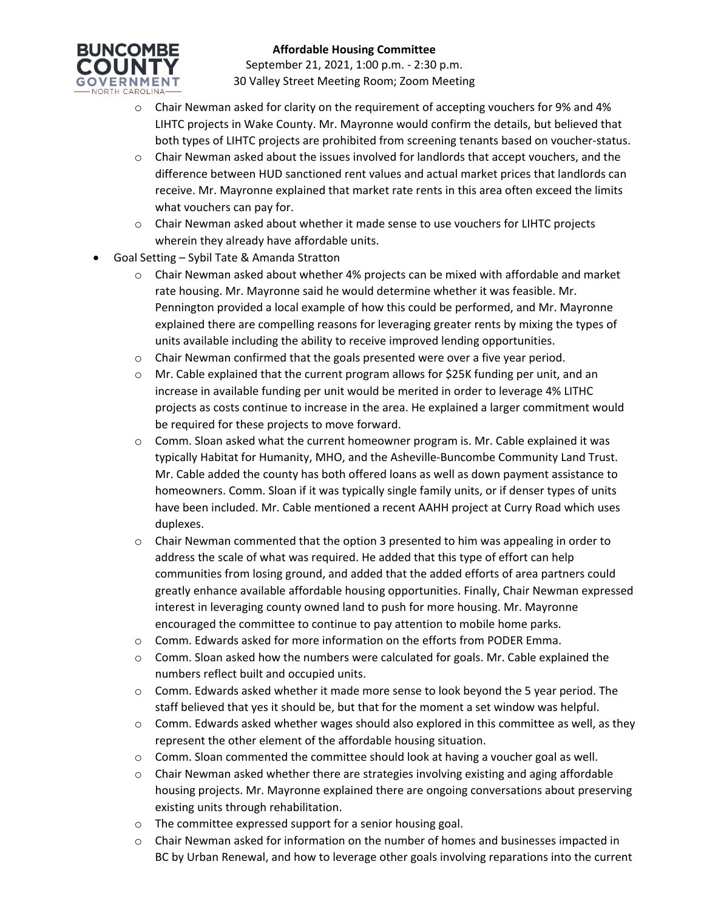

### **Affordable Housing Committee**

September 21, 2021, 1:00 p.m. - 2:30 p.m. 30 Valley Street Meeting Room; Zoom Meeting

- o Chair Newman asked for clarity on the requirement of accepting vouchers for 9% and 4% LIHTC projects in Wake County. Mr. Mayronne would confirm the details, but believed that both types of LIHTC projects are prohibited from screening tenants based on voucher-status.
- o Chair Newman asked about the issues involved for landlords that accept vouchers, and the difference between HUD sanctioned rent values and actual market prices that landlords can receive. Mr. Mayronne explained that market rate rents in this area often exceed the limits what vouchers can pay for.
- $\circ$  Chair Newman asked about whether it made sense to use vouchers for LIHTC projects wherein they already have affordable units.
- Goal Setting Sybil Tate & Amanda Stratton
	- $\circ$  Chair Newman asked about whether 4% projects can be mixed with affordable and market rate housing. Mr. Mayronne said he would determine whether it was feasible. Mr. Pennington provided a local example of how this could be performed, and Mr. Mayronne explained there are compelling reasons for leveraging greater rents by mixing the types of units available including the ability to receive improved lending opportunities.
	- $\circ$  Chair Newman confirmed that the goals presented were over a five year period.
	- $\circ$  Mr. Cable explained that the current program allows for \$25K funding per unit, and an increase in available funding per unit would be merited in order to leverage 4% LITHC projects as costs continue to increase in the area. He explained a larger commitment would be required for these projects to move forward.
	- $\circ$  Comm. Sloan asked what the current homeowner program is. Mr. Cable explained it was typically Habitat for Humanity, MHO, and the Asheville-Buncombe Community Land Trust. Mr. Cable added the county has both offered loans as well as down payment assistance to homeowners. Comm. Sloan if it was typically single family units, or if denser types of units have been included. Mr. Cable mentioned a recent AAHH project at Curry Road which uses duplexes.
	- $\circ$  Chair Newman commented that the option 3 presented to him was appealing in order to address the scale of what was required. He added that this type of effort can help communities from losing ground, and added that the added efforts of area partners could greatly enhance available affordable housing opportunities. Finally, Chair Newman expressed interest in leveraging county owned land to push for more housing. Mr. Mayronne encouraged the committee to continue to pay attention to mobile home parks.
	- o Comm. Edwards asked for more information on the efforts from PODER Emma.
	- $\circ$  Comm. Sloan asked how the numbers were calculated for goals. Mr. Cable explained the numbers reflect built and occupied units.
	- $\circ$  Comm. Edwards asked whether it made more sense to look beyond the 5 year period. The staff believed that yes it should be, but that for the moment a set window was helpful.
	- $\circ$  Comm. Edwards asked whether wages should also explored in this committee as well, as they represent the other element of the affordable housing situation.
	- $\circ$  Comm. Sloan commented the committee should look at having a voucher goal as well.
	- $\circ$  Chair Newman asked whether there are strategies involving existing and aging affordable housing projects. Mr. Mayronne explained there are ongoing conversations about preserving existing units through rehabilitation.
	- o The committee expressed support for a senior housing goal.
	- o Chair Newman asked for information on the number of homes and businesses impacted in BC by Urban Renewal, and how to leverage other goals involving reparations into the current